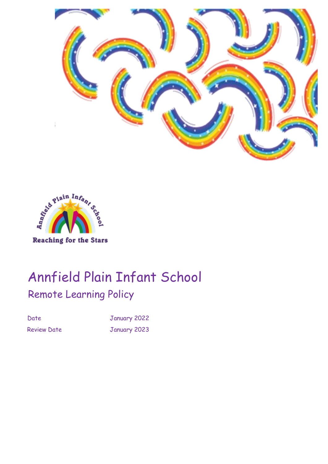



# Annfield Plain Infant School Remote Learning Policy

Date January 2022 Review Date **January 2023**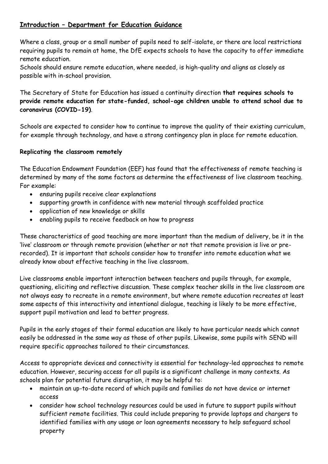# **Introduction – Department for Education Guidance**

Where a class, group or a small number of pupils need to self-isolate, or there are local restrictions requiring pupils to remain at home, the DfE expects schools to have the capacity to offer immediate remote education.

Schools should ensure remote education, where needed, is high-quality and aligns as closely as possible with in-school provision.

The Secretary of State for Education has issued a continuity direction **that requires schools to provide remote education for state-funded, school-age children unable to attend school due to coronavirus (COVID-19)**.

Schools are expected to consider how to continue to improve the quality of their existing curriculum, for example through technology, and have a strong contingency plan in place for remote education.

### **Replicating the classroom remotely**

The Education Endowment Foundation (EEF) has found that the effectiveness of remote teaching is determined by many of the same factors as determine the effectiveness of live classroom teaching. For example:

- ensuring pupils receive clear explanations
- supporting growth in confidence with new material through scaffolded practice
- application of new knowledge or skills
- enabling pupils to receive feedback on how to progress

These characteristics of good teaching are more important than the medium of delivery, be it in the 'live' classroom or through remote provision (whether or not that remote provision is live or prerecorded). It is important that schools consider how to transfer into remote education what we already know about effective teaching in the live classroom.

Live classrooms enable important interaction between teachers and pupils through, for example, questioning, eliciting and reflective discussion. These complex teacher skills in the live classroom are not always easy to recreate in a remote environment, but where remote education recreates at least some aspects of this interactivity and intentional dialogue, teaching is likely to be more effective, support pupil motivation and lead to better progress.

Pupils in the early stages of their formal education are likely to have particular needs which cannot easily be addressed in the same way as those of other pupils. Likewise, some pupils with SEND will require specific approaches tailored to their circumstances.

Access to appropriate devices and connectivity is essential for technology-led approaches to remote education. However, securing access for all pupils is a significant challenge in many contexts. As schools plan for potential future disruption, it may be helpful to:

- maintain an up-to-date record of which pupils and families do not have device or internet access
- consider how school technology resources could be used in future to support pupils without sufficient remote facilities. This could include preparing to provide laptops and chargers to identified families with any usage or loan agreements necessary to help safeguard school property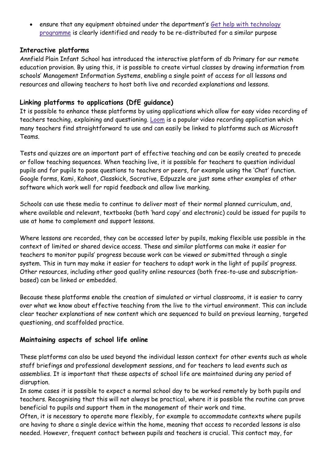• ensure that any equipment obtained under the department's Get help with [technology](https://www.gov.uk/guidance/get-help-with-technology-for-remote-education-during-coronavirus-covid-19) [programme](https://www.gov.uk/guidance/get-help-with-technology-for-remote-education-during-coronavirus-covid-19) is clearly identified and ready to be re-distributed for a similar purpose

#### **Interactive platforms**

Annfield Plain Infant School has introduced the interactive platform of db Primary for our remote education provision. By using this, it is possible to create virtual classes by drawing information from schools' Management Information Systems, enabling a single point of access for all lessons and resources and allowing teachers to host both live and recorded explanations and lessons.

# **Linking platforms to applications (DfE guidance)**

It is possible to enhance these platforms by using applications which allow for easy video recording of teachers teaching, explaining and questioning. [Loom](https://www.loom.com/) is a popular video recording application which many teachers find straightforward to use and can easily be linked to platforms such as Microsoft Teams.

Tests and quizzes are an important part of effective teaching and can be easily created to precede or follow teaching sequences. When teaching live, it is possible for teachers to question individual pupils and for pupils to pose questions to teachers or peers, for example using the 'Chat' function. Google forms, Kami, Kahoot, Classkick, Socrative, Edpuzzle are just some other examples of other software which work well for rapid feedback and allow live marking.

Schools can use these media to continue to deliver most of their normal planned curriculum, and, where available and relevant, textbooks (both 'hard copy' and electronic) could be issued for pupils to use at home to complement and support lessons.

Where lessons are recorded, they can be accessed later by pupils, making flexible use possible in the context of limited or shared device access. These and similar platforms can make it easier for teachers to monitor pupils' progress because work can be viewed or submitted through a single system. This in turn may make it easier for teachers to adapt work in the light of pupils' progress. Other resources, including other good quality online resources (both free-to-use and subscriptionbased) can be linked or embedded.

Because these platforms enable the creation of simulated or virtual classrooms, it is easier to carry over what we know about effective teaching from the live to the virtual environment. This can include clear teacher explanations of new content which are sequenced to build on previous learning, targeted questioning, and scaffolded practice.

# **Maintaining aspects of school life online**

These platforms can also be used beyond the individual lesson context for other events such as whole staff briefings and professional development sessions, and for teachers to lead events such as assemblies. It is important that these aspects of school life are maintained during any period of disruption.

In some cases it is possible to expect a normal school day to be worked remotely by both pupils and teachers. Recognising that this will not always be practical, where it is possible the routine can prove beneficial to pupils and support them in the management of their work and time.

Often, it is necessary to operate more flexibly, for example to accommodate contexts where pupils are having to share a single device within the home, meaning that access to recorded lessons is also needed. However, frequent contact between pupils and teachers is crucial. This contact may, for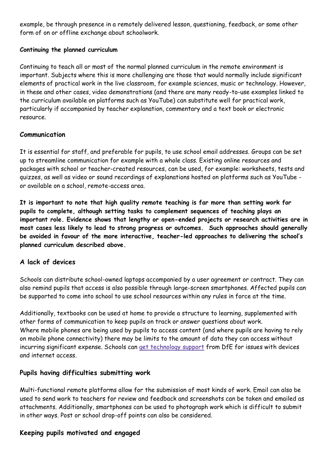example, be through presence in a remotely delivered lesson, questioning, feedback, or some other form of on or offline exchange about schoolwork.

### **Continuing the planned curriculum**

Continuing to teach all or most of the normal planned curriculum in the remote environment is important. Subjects where this is more challenging are those that would normally include significant elements of practical work in the live classroom, for example sciences, music or technology. However, in these and other cases, video demonstrations (and there are many ready-to-use examples linked to the curriculum available on platforms such as YouTube) can substitute well for practical work, particularly if accompanied by teacher explanation, commentary and a text book or electronic resource.

### **Communication**

It is essential for staff, and preferable for pupils, to use school email addresses. Groups can be set up to streamline communication for example with a whole class. Existing online resources and packages with school or teacher-created resources, can be used, for example: worksheets, tests and quizzes, as well as video or sound recordings of explanations hosted on platforms such as YouTube or available on a school, remote-access area.

**It is important to note that high quality remote teaching is far more than setting work for pupils to complete, although setting tasks to complement sequences of teaching plays an important role. Evidence shows that lengthy or open-ended projects or research activities are in most cases less likely to lead to strong progress or outcomes. Such approaches should generally be avoided in favour of the more interactive, teacher-led approaches to delivering the school's planned curriculum described above.**

# **A lack of devices**

Schools can distribute school-owned laptops accompanied by a user agreement or contract. They can also remind pupils that access is also possible through large-screen smartphones. Affected pupils can be supported to come into school to use school resources within any rules in force at the time.

Additionally, textbooks can be used at home to provide a structure to learning, supplemented with other forms of communication to keep pupils on track or answer questions about work. Where mobile phones are being used by pupils to access content (and where pupils are having to rely on mobile phone connectivity) there may be limits to the amount of data they can access without incurring significant expense. Schools can get [technology](https://www.gov.uk/guidance/get-help-with-technology-for-remote-education-during-coronavirus-covid-19) support from DfE for issues with devices and internet access.

# **Pupils having difficulties submitting work**

Multi-functional remote platforms allow for the submission of most kinds of work. Email can also be used to send work to teachers for review and feedback and screenshots can be taken and emailed as attachments. Additionally, smartphones can be used to photograph work which is difficult to submit in other ways. Post or school drop-off points can also be considered.

# **Keeping pupils motivated and engaged**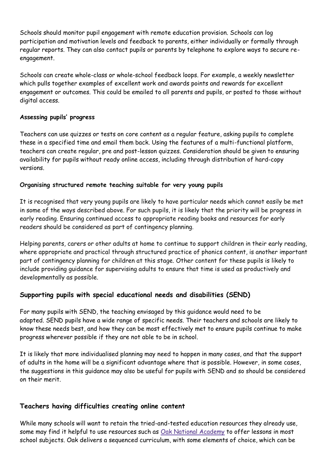Schools should monitor pupil engagement with remote education provision. Schools can log participation and motivation levels and feedback to parents, either individually or formally through regular reports. They can also contact pupils or parents by telephone to explore ways to secure reengagement.

Schools can create whole-class or whole-school feedback loops. For example, a weekly newsletter which pulls together examples of excellent work and awards points and rewards for excellent engagement or outcomes. This could be emailed to all parents and pupils, or posted to those without digital access.

#### **Assessing pupils' progress**

Teachers can use quizzes or tests on core content as a regular feature, asking pupils to complete these in a specified time and email them back. Using the features of a multi-functional platform, teachers can create regular, pre and post-lesson quizzes. Consideration should be given to ensuring availability for pupils without ready online access, including through distribution of hard-copy versions.

#### **Organising structured remote teaching suitable for very young pupils**

It is recognised that very young pupils are likely to have particular needs which cannot easily be met in some of the ways described above. For such pupils, it is likely that the priority will be progress in early reading. Ensuring continued access to appropriate reading books and resources for early readers should be considered as part of contingency planning.

Helping parents, carers or other adults at home to continue to support children in their early reading, where appropriate and practical through structured practice of phonics content, is another important part of contingency planning for children at this stage. Other content for these pupils is likely to include providing guidance for supervising adults to ensure that time is used as productively and developmentally as possible.

# **Supporting pupils with special educational needs and disabilities (SEND)**

For many pupils with SEND, the teaching envisaged by this guidance would need to be adapted. SEND pupils have a wide range of specific needs. Their teachers and schools are likely to know these needs best, and how they can be most effectively met to ensure pupils continue to make progress wherever possible if they are not able to be in school.

It is likely that more individualised planning may need to happen in many cases, and that the support of adults in the home will be a significant advantage where that is possible. However, in some cases, the suggestions in this guidance may also be useful for pupils with SEND and so should be considered on their merit.

# **Teachers having difficulties creating online content**

While many schools will want to retain the tried-and-tested education resources they already use, some may find it helpful to use resources such as Oak National [Academy](http://www.thenational.academy/) to offer lessons in most school subjects. Oak delivers a sequenced curriculum, with some elements of choice, which can be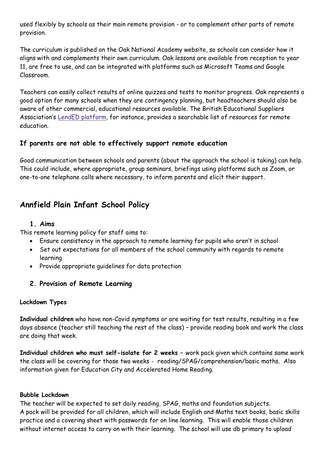used flexibly by schools as their main remote provision - or to complement other parts of remote provision.

The curriculum is published on the Oak National Academy website, so schools can consider how it aligns with and complements their own curriculum. Oak lessons are available from reception to year 11, are free to use, and can be integrated with platforms such as Microsoft Teams and Google Classroom.

Teachers can easily collect results of online quizzes and tests to monitor progress. Oak represents a good option for many schools when they are contingency planning, but headteachers should also be aware of other commercial, educational resources available. The British Educational Suppliers Association's LendED [platform,](https://www.lended.org.uk/) for instance, provides a searchable list of resources for remote education.

### **If parents are not able to effectively support remote education**

Good communication between schools and parents (about the approach the school is taking) can help. This could include, where appropriate, group seminars, briefings using platforms such as Zoom, or one-to-one telephone calls where necessary, to inform parents and elicit their support.

# **Annfield Plain Infant School Policy**

#### **1. Aims**

This remote learning policy for staff aims to:

- Ensure consistency in the approach to remote learning for pupils who aren't in school
- Set out expectations for all members of the school community with regards to remote learning
- Provide appropriate guidelines for data protection

# **2. Provision of Remote Learning**

#### **Lockdown Types**

**Individual children** who have non-Covid symptoms or are waiting for test results, resulting in a few days absence (teacher still teaching the rest of the class) – provide reading book and work the class are doing that week.

**Individual children who must self-isolate for 2 weeks –** work pack given which contains same work the class will be covering for those two weeks - reading/SPAG/comprehension/basic maths. Also information given for Education City and Accelerated Home Reading.

#### **Bubble Lockdown**

The teacher will be expected to set daily reading, SPAG, maths and foundation subjects. A pack will be provided for all children, which will include English and Maths text books, basic skills practice and a covering sheet with passwords for on line learning. This will enable those children without internet access to carry on with their learning. The school will use db primary to upload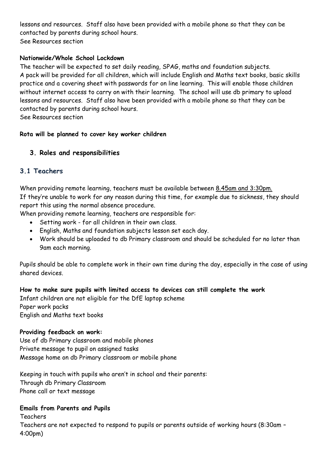lessons and resources. Staff also have been provided with a mobile phone so that they can be contacted by parents during school hours. See Resources section

#### **Nationwide/Whole School Lockdown**

The teacher will be expected to set daily reading, SPAG, maths and foundation subjects. A pack will be provided for all children, which will include English and Maths text books, basic skills practice and a covering sheet with passwords for on line learning. This will enable those children without internet access to carry on with their learning. The school will use db primary to upload lessons and resources. Staff also have been provided with a mobile phone so that they can be contacted by parents during school hours.

See Resources section

#### **Rota will be planned to cover key worker children**

# **3. Roles and responsibilities**

# **3.1 Teachers**

When providing remote learning, teachers must be available between 8.45am and 3:30pm. If they're unable to work for any reason during this time, for example due to sickness, they should report this using the normal absence procedure.

When providing remote learning, teachers are responsible for:

- Setting work for all children in their own class.
- English, Maths and foundation subjects lesson set each day.
- Work should be uploaded to db Primary classroom and should be scheduled for no later than 9am each morning.

Pupils should be able to complete work in their own time during the day, especially in the case of using shared devices.

#### **How to make sure pupils with limited access to devices can still complete the work**

Infant children are not eligible for the DfE laptop scheme Paper work packs English and Maths text books

#### **Providing feedback on work:**

Use of db Primary classroom and mobile phones Private message to pupil on assigned tasks Message home on db Primary classroom or mobile phone

Keeping in touch with pupils who aren't in school and their parents: Through db Primary Classroom Phone call or text message

#### **Emails from Parents and Pupils**

Teachers

Teachers are not expected to respond to pupils or parents outside of working hours (8:30am – 4:00pm)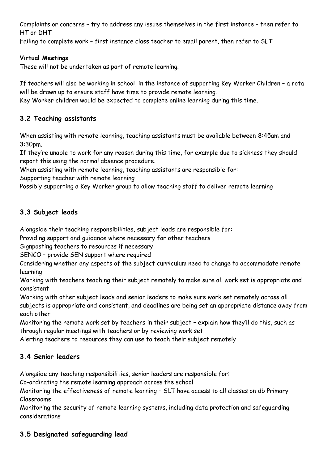Complaints or concerns – try to address any issues themselves in the first instance – then refer to HT or DHT

Failing to complete work – first instance class teacher to email parent, then refer to SLT

#### **Virtual Meetings**

These will not be undertaken as part of remote learning.

If teachers will also be working in school, in the instance of supporting Key Worker Children – a rota will be drawn up to ensure staff have time to provide remote learning.

Key Worker children would be expected to complete online learning during this time.

# **3.2 Teaching assistants**

When assisting with remote learning, teaching assistants must be available between 8:45am and 3:30pm.

If they're unable to work for any reason during this time, for example due to sickness they should report this using the normal absence procedure.

When assisting with remote learning, teaching assistants are responsible for:

Supporting teacher with remote learning

Possibly supporting a Key Worker group to allow teaching staff to deliver remote learning

# **3.3 Subject leads**

Alongside their teaching responsibilities, subject leads are responsible for:

Providing support and guidance where necessary for other teachers

Signposting teachers to resources if necessary

SENCO – provide SEN support where required

Considering whether any aspects of the subject curriculum need to change to accommodate remote learning

Working with teachers teaching their subject remotely to make sure all work set is appropriate and consistent

Working with other subject leads and senior leaders to make sure work set remotely across all subjects is appropriate and consistent, and deadlines are being set an appropriate distance away from each other

Monitoring the remote work set by teachers in their subject – explain how they'll do this, such as through regular meetings with teachers or by reviewing work set

Alerting teachers to resources they can use to teach their subject remotely

# **3.4 Senior leaders**

Alongside any teaching responsibilities, senior leaders are responsible for:

Co-ordinating the remote learning approach across the school

Monitoring the effectiveness of remote learning – SLT have access to all classes on db Primary Classrooms

Monitoring the security of remote learning systems, including data protection and safeguarding considerations

# **3.5 Designated safeguarding lead**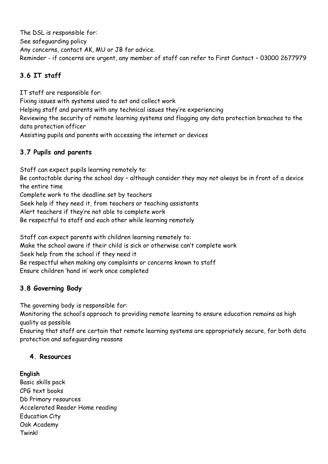The DSL is responsible for: See safeguarding policy Any concerns, contact AK, MU or JB for advice. Reminder - if concerns are urgent, any member of staff can refer to First Contact – 03000 2677979

# **3.6 IT staff**

IT staff are responsible for: Fixing issues with systems used to set and collect work Helping staff and parents with any technical issues they're experiencing Reviewing the security of remote learning systems and flagging any data protection breaches to the data protection officer Assisting pupils and parents with accessing the internet or devices

# **3.7 Pupils and parents**

Staff can expect pupils learning remotely to: Be contactable during the school day – although consider they may not always be in front of a device the entire time Complete work to the deadline set by teachers Seek help if they need it, from teachers or teaching assistants Alert teachers if they're not able to complete work Be respectful to staff and each other while learning remotely

Staff can expect parents with children learning remotely to: Make the school aware if their child is sick or otherwise can't complete work Seek help from the school if they need it Be respectful when making any complaints or concerns known to staff Ensure children 'hand in' work once completed

# **3.8 Governing Body**

The governing body is responsible for:

Monitoring the school's approach to providing remote learning to ensure education remains as high quality as possible

Ensuring that staff are certain that remote learning systems are appropriately secure, for both data protection and safeguarding reasons

# **4. Resources**

# **English**

Basic skills pack CPG text books Db Primary resources Accelerated Reader Home reading Education City Oak Academy Twinkl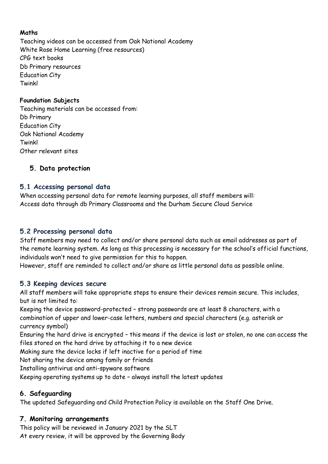### **Maths**

Teaching videos can be accessed from Oak National Academy White Rose Home Learning (free resources) CPG text books Db Primary resources Education City Twinkl

### **Foundation Subjects**

Teaching materials can be accessed from: Db Primary Education City Oak National Academy Twinkl Other relevant sites

### **5. Data protection**

### **5.1 Accessing personal data**

When accessing personal data for remote learning purposes, all staff members will: Access data through db Primary Classrooms and the Durham Secure Cloud Service

### **5.2 Processing personal data**

Staff members may need to collect and/or share personal data such as email addresses as part of the remote learning system. As long as this processing is necessary for the school's official functions, individuals won't need to give permission for this to happen.

However, staff are reminded to collect and/or share as little personal data as possible online.

#### **5.3 Keeping devices secure**

All staff members will take appropriate steps to ensure their devices remain secure. This includes, but is not limited to:

Keeping the device password-protected – strong passwords are at least 8 characters, with a combination of upper and lower-case letters, numbers and special characters (e.g. asterisk or currency symbol)

Ensuring the hard drive is encrypted – this means if the device is lost or stolen, no one can access the files stored on the hard drive by attaching it to a new device

Making sure the device locks if left inactive for a period of time

Not sharing the device among family or friends

Installing antivirus and anti-spyware software

Keeping operating systems up to date – always install the latest updates

#### **6. Safeguarding**

The updated Safeguarding and Child Protection Policy is available on the Staff One Drive.

#### **7. Monitoring arrangements**

This policy will be reviewed in January 2021 by the SLT At every review, it will be approved by the Governing Body